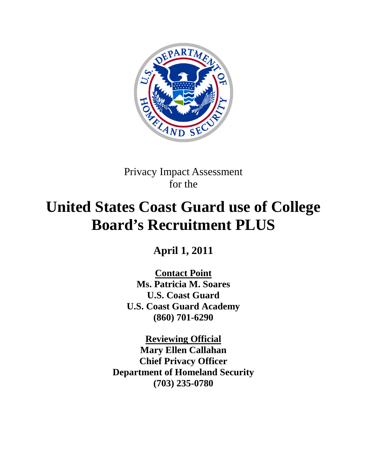

Privacy Impact Assessment for the

# **United States Coast Guard use of College Board's Recruitment PLUS**

**April 1, 2011**

**Contact Point Ms. Patricia M. Soares U.S. Coast Guard U.S. Coast Guard Academy (860) 701-6290**

**Reviewing Official Mary Ellen Callahan Chief Privacy Officer Department of Homeland Security (703) 235-0780**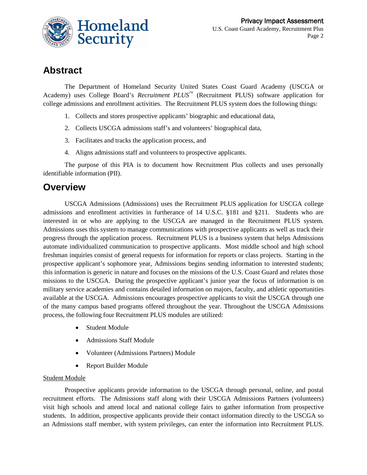

## **Abstract**

The Department of Homeland Security United States Coast Guard Academy (USCGA or Academy) uses College Board's *Recruitment PLUS*<sup>™</sup> (Recruitment PLUS) software application for college admissions and enrollment activities. The Recruitment PLUS system does the following things:

- 1. Collects and stores prospective applicants' biographic and educational data,
- 2. Collects USCGA admissions staff's and volunteers' biographical data,
- 3. Facilitates and tracks the application process, and
- 4. Aligns admissions staff and volunteers to prospective applicants.

The purpose of this PIA is to document how Recruitment Plus collects and uses personally identifiable information (PII).

### **Overview**

USCGA Admissions (Admissions) uses the Recruitment PLUS application for USCGA college admissions and enrollment activities in furtherance of 14 U.S.C. §181 and §211. Students who are interested in or who are applying to the USCGA are managed in the Recruitment PLUS system. Admissions uses this system to manage communications with prospective applicants as well as track their progress through the application process. Recruitment PLUS is a business system that helps Admissions automate individualized communication to prospective applicants. Most middle school and high school freshman inquiries consist of general requests for information for reports or class projects. Starting in the prospective applicant's sophomore year, Admissions begins sending information to interested students; this information is generic in nature and focuses on the missions of the U.S. Coast Guard and relates those missions to the USCGA. During the prospective applicant's junior year the focus of information is on military service academies and contains detailed information on majors, faculty, and athletic opportunities available at the USCGA. Admissions encourages prospective applicants to visit the USCGA through one of the many campus based programs offered throughout the year. Throughout the USCGA Admissions process, the following four Recruitment PLUS modules are utilized:

- Student Module
- Admissions Staff Module
- Volunteer (Admissions Partners) Module
- Report Builder Module

#### Student Module

Prospective applicants provide information to the USCGA through personal, online, and postal recruitment efforts. The Admissions staff along with their USCGA Admissions Partners (volunteers) visit high schools and attend local and national college fairs to gather information from prospective students. In addition, prospective applicants provide their contact information directly to the USCGA so an Admissions staff member, with system privileges, can enter the information into Recruitment PLUS.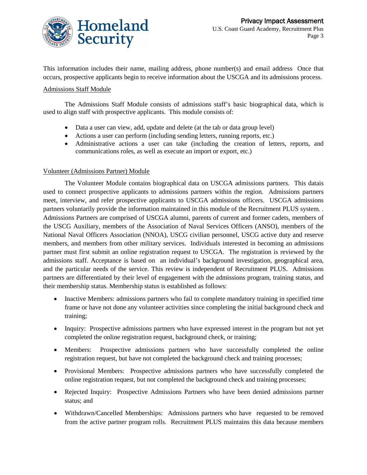

This information includes their name, mailing address, phone number(s) and email address Once that occurs, prospective applicants begin to receive information about the USCGA and its admissions process.

#### Admissions Staff Module

The Admissions Staff Module consists of admissions staff's basic biographical data, which is used to align staff with prospective applicants. This module consists of:

- Data a user can view, add, update and delete (at the tab or data group level)
- Actions a user can perform (including sending letters, running reports, etc.)
- Administrative actions a user can take (including the creation of letters, reports, and communications roles, as well as execute an import or export, etc.)

#### Volunteer (Admissions Partner) Module

The Volunteer Module contains biographical data on USCGA admissions partners. This datais used to connect prospective applicants to admissions partners within the region. Admissions partners meet, interview, and refer prospective applicants to USCGA admissions officers. USCGA admissions partners voluntarily provide the information maintained in this module of the Recruitment PLUS system. . Admissions Partners are comprised of USCGA alumni, parents of current and former cadets, members of the USCG Auxiliary, members of the Association of Naval Services Officers (ANSO), members of the National Naval Officers Association (NNOA), USCG civilian personnel, USCG active duty and reserve members, and members from other military services. Individuals interested in becoming an admissions partner must first submit an online registration request to USCGA. The registration is reviewed by the admissions staff. Acceptance is based on an individual's background investigation, geographical area, and the particular needs of the service. This review is independent of Recruitment PLUS. Admissions partners are differentiated by their level of engagement with the admissions program, training status, and their membership status. Membership status is established as follows:

- Inactive Members: admissions partners who fail to complete mandatory training in specified time frame or have not done any volunteer activities since completing the initial background check and training;
- Inquiry: Prospective admissions partners who have expressed interest in the program but not yet completed the online registration request, background check, or training;
- Members: Prospective admissions partners who have successfully completed the online registration request, but have not completed the background check and training processes;
- Provisional Members: Prospective admissions partners who have successfully completed the online registration request, but not completed the background check and training processes;
- Rejected Inquiry: Prospective Admissions Partners who have been denied admissions partner status; and
- Withdrawn/Cancelled Memberships: Admissions partners who have requested to be removed from the active partner program rolls. Recruitment PLUS maintains this data because members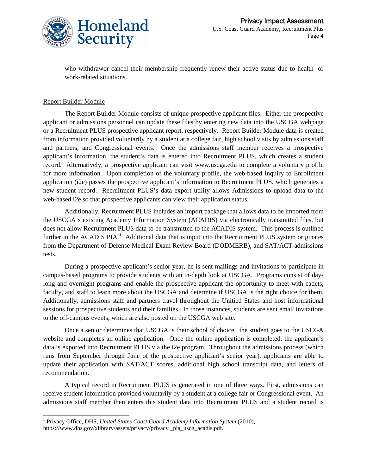

who withdrawor cancel their membership frequently renew their active status due to health- or work-related situations.

#### Report Builder Module

The Report Builder Module consists of unique prospective applicant files. Either the prospective applicant or admissions personnel can update these files by entering new data into the USCGA webpage or a Recruitment PLUS prospective applicant report, respectively. Report Builder Module data is created from information provided voluntarily by a student at a college fair, high school visits by admissions staff and partners, and Congressional events. Once the admissions staff member receives a prospective applicant's information, the student's data is entered into Recruitment PLUS, which creates a student record. Alternatively, a prospective applicant can visit www.uscga.edu to complete a voluntary profile for more information. Upon completion of the voluntary profile, the web-based Inquiry to Enrollment application (i2e) passes the prospective applicant's information to Recruitment PLUS, which generates a new student record. Recruitment PLUS's data export utility allows Admissions to upload data to the web-based i2e so that prospective applicants can view their application status.

Additionally, Recruitment PLUS includes an import package that allows data to be imported from the USCGA's existing Academy Information System (ACADIS) via electronically transmitted files, but does not allow Recruitment PLUS data to be transmitted to the ACADIS system. This process is outlined further in the ACADIS PIA.<sup>[1](#page-3-0)</sup> Additional data that is input into the Recruitment PLUS system originates from the Department of Defense Medical Exam Review Board (DODMERB), and SAT/ACT admissions tests.

During a prospective applicant's senior year, he is sent mailings and invitations to participate in campus-based programs to provide students with an in-depth look at USCGA. Programs consist of daylong and overnight programs and enable the prospective applicant the opportunity to meet with cadets, faculty, and staff to learn more about the USCGA and determine if USCGA is the right choice for them. Additionally, admissions staff and partners travel throughout the Unitied States and host informational sessions for prospective students and their families. In those instances, students are sent email invitations to the off-campus events, which are also posted on the USCGA web site.

Once a senior determines that USCGA is their school of choice, the student goes to the USCGA website and completes an online application. Once the online application is completed, the applicant's data is exported into Recruitment PLUS via the i2e program. Throughout the admissions process (which runs from September through June of the prospective applicant's senior year), applicants are able to update their application with SAT/ACT scores, additional high school transcript data, and letters of recommendation.

A typical record in Recruitment PLUS is generated in one of three ways. First, admissions can receive student information provided voluntarily by a student at a college fair or Congressional event. An admissions staff member then enters this student data into Recruitment PLUS and a student record is

<span id="page-3-0"></span> <sup>1</sup> Privacy Office, DHS, *United States Coast Guard Academy Information System* (2010), https://www.dhs.gov/xlibrary/assets/privacy/privacy \_pia\_uscg\_acadis.pdf.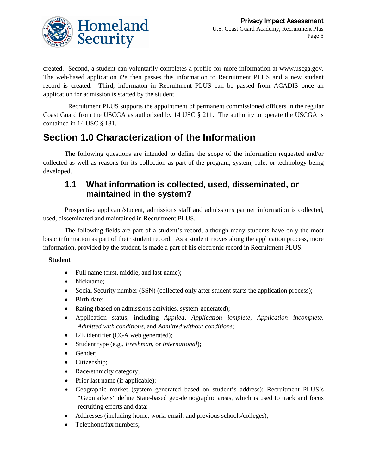

created. Second, a student can voluntarily completes a profile for more information at www.uscga.gov. The web-based application i2e then passes this information to Recruitment PLUS and a new student record is created. Third, informaton in Recruitment PLUS can be passed from ACADIS once an application for admission is started by the student.

 Recruitment PLUS supports the appointment of permanent commissioned officers in the regular Coast Guard from the USCGA as authorized by 14 USC § 211. The authority to operate the USCGA is contained in 14 USC § 181.

# **Section 1.0 Characterization of the Information**

The following questions are intended to define the scope of the information requested and/or collected as well as reasons for its collection as part of the program, system, rule, or technology being developed.

### **1.1 What information is collected, used, disseminated, or maintained in the system?**

Prospective applicant/student, admissions staff and admissions partner information is collected, used, disseminated and maintained in Recruitment PLUS.

The following fields are part of a student's record, although many students have only the most basic information as part of their student record. As a student moves along the application process, more information, provided by the student, is made a part of his electronic record in Recruitment PLUS.

#### **Student**

- Full name (first, middle, and last name);
- Nickname;
- Social Security number (SSN) (collected only after student starts the application process);
- Birth date;
- Rating (based on admissions activities, system-generated);
- Application status, including *Applied*, *Application iomplete*, *Application incomplete*, *Admitted with conditions*, and *Admitted without conditions*;
- I2E identifier (CGA web generated);
- Student type (e.g., *Freshman*, or *International*);
- Gender;
- Citizenship;
- Race/ethnicity category;
- Prior last name (if applicable);
- Geographic market (system generated based on student's address): Recruitment PLUS's "Geomarkets" define State-based geo-demographic areas, which is used to track and focus recruiting efforts and data;
- Addresses (including home, work, email, and previous schools/colleges);
- Telephone/fax numbers;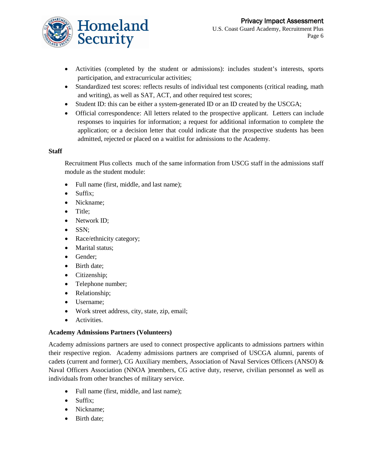

- Activities (completed by the student or admissions): includes student's interests, sports participation, and extracurricular activities;
- Standardized test scores: reflects results of individual test components (critical reading, math and writing), as well as SAT, ACT, and other required test scores;
- Student ID: this can be either a system-generated ID or an ID created by the USCGA;
- Official correspondence: All letters related to the prospective applicant. Letters can include responses to inquiries for information; a request for additional information to complete the application; or a decision letter that could indicate that the prospective students has been admitted, rejected or placed on a waitlist for admissions to the Academy.

#### **Staff**

Recruitment Plus collects much of the same information from USCG staff in the admissions staff module as the student module:

- Full name (first, middle, and last name);
- Suffix;
- Nickname;
- Title;
- Network ID;
- SSN;
- Race/ethnicity category;
- Marital status;
- Gender;
- Birth date;
- Citizenship;
- Telephone number;
- Relationship;
- Username;
- Work street address, city, state, zip, email;
- Activities.

#### **Academy Admissions Partners (Volunteers)**

Academy admissions partners are used to connect prospective applicants to admissions partners within their respective region. Academy admissions partners are comprised of USCGA alumni, parents of cadets (current and former), CG Auxiliary members, Association of Naval Services Officers (ANSO) & Naval Officers Association (NNOA )members, CG active duty, reserve, civilian personnel as well as individuals from other branches of military service.

- Full name (first, middle, and last name);
- Suffix:
- Nickname;
- Birth date;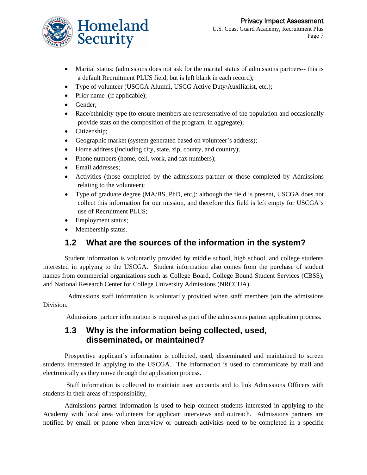

- Marital status: (admissions does not ask for the marital status of admissions partners-- this is a default Recruitment PLUS field, but is left blank in each record);
- Type of volunteer (USCGA Alumni, USCG Active Duty/Auxiliarist, etc.);
- Prior name (if applicable);
- Gender;
- Race/ethnicity type (to ensure members are representative of the population and occasionally provide stats on the composition of the program, in aggregate);
- Citizenship;
- Geographic market (system generated based on volunteer's address);
- Home address (including city, state, zip, county, and country);
- Phone numbers (home, cell, work, and fax numbers);
- Email addresses;
- Activities (those completed by the admissions partner or those completed by Admissions relating to the volunteer);
- Type of graduate degree (MA/BS, PhD, etc.): although the field is present, USCGA does not collect this information for our mission, and therefore this field is left empty for USCGA's use of Recruitment PLUS;
- Employment status;
- Membership status.

### **1.2 What are the sources of the information in the system?**

Student information is voluntarily provided by middle school, high school, and college students interested in applying to the USCGA. Student information also comes from the purchase of student names from commercial organizations such as College Board, College Bound Student Services (CBSS), and National Research Center for College University Admissions (NRCCUA).

 Admissions staff information is voluntarily provided when staff members join the admissions Division.

Admissions partner information is required as part of the admissions partner application process.

#### **1.3 Why is the information being collected, used, disseminated, or maintained?**

Prospective applicant's information is collected, used, disseminated and maintained to screen students interested in applying to the USCGA. The information is used to communicate by mail and electronically as they move through the application process.

Staff information is collected to maintain user accounts and to link Admissions Officers with students in their areas of responsibility,

Admissions partner information is used to help connect students interested in applying to the Academy with local area volunteers for applicant interviews and outreach. Admissions partners are notified by email or phone when interview or outreach activities need to be completed in a specific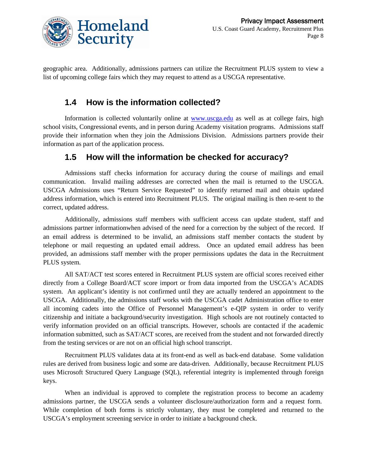

geographic area. Additionally, admissions partners can utilize the Recruitment PLUS system to view a list of upcoming college fairs which they may request to attend as a USCGA representative.

#### **1.4 How is the information collected?**

Information is collected voluntarily online at [www.uscga.edu](http://www.uscga.edu/) as well as at college fairs, high school visits, Congressional events, and in person during Academy visitation programs. Admissions staff provide their information when they join the Admissions Division. Admissions partners provide their information as part of the application process.

#### **1.5 How will the information be checked for accuracy?**

Admissions staff checks information for accuracy during the course of mailings and email communication. Invalid mailing addresses are corrected when the mail is returned to the USCGA. USCGA Admissions uses "Return Service Requested" to identify returned mail and obtain updated address information, which is entered into Recruitment PLUS. The original mailing is then re-sent to the correct, updated address.

Additionally, admissions staff members with sufficient access can update student, staff and admissions partner informationwhen advised of the need for a correction by the subject of the record. If an email address is determined to be invalid, an admissions staff member contacts the student by telephone or mail requesting an updated email address. Once an updated email address has been provided, an admissions staff member with the proper permissions updates the data in the Recruitment PLUS system.

All SAT/ACT test scores entered in Recruitment PLUS system are official scores received either directly from a College Board/ACT score import or from data imported from the USCGA's ACADIS system. An applicant's identity is not confirmed until they are actually tendered an appointment to the USCGA. Additionally, the admissions staff works with the USCGA cadet Administration office to enter all incoming cadets into the Office of Personnel Management's e-QIP system in order to verify citizenship and initiate a background/security investigation. High schools are not routinely contacted to verify information provided on an official transcripts. However, schools are contacted if the academic information submitted, such as SAT/ACT scores, are received from the student and not forwarded directly from the testing services or are not on an official high school transcript.

Recruitment PLUS validates data at its front-end as well as back-end database. Some validation rules are derived from business logic and some are data-driven. Additionally, because Recruitment PLUS uses Microsoft Structured Query Language (SQL), referential integrity is implemented through foreign keys.

When an individual is approved to complete the registration process to become an academy admissions partner, the USCGA sends a volunteer disclosure/authorization form and a request form. While completion of both forms is strictly voluntary, they must be completed and returned to the USCGA's employment screening service in order to initiate a background check.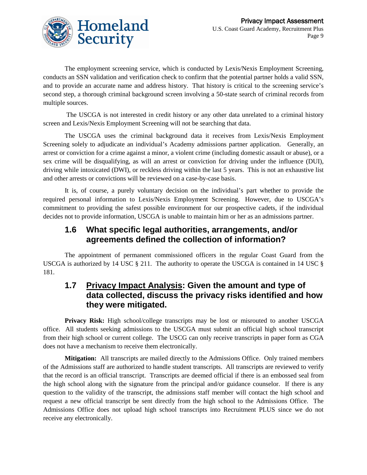

The employment screening service, which is conducted by Lexis/Nexis Employment Screening, conducts an SSN validation and verification check to confirm that the potential partner holds a valid SSN, and to provide an accurate name and address history. That history is critical to the screening service's second step, a thorough criminal background screen involving a 50-state search of criminal records from multiple sources.

The USCGA is not interested in credit history or any other data unrelated to a criminal history screen and Lexis/Nexis Employment Screening will not be searching that data.

The USCGA uses the criminal background data it receives from Lexis/Nexis Employment Screening solely to adjudicate an individual's Academy admissions partner application. Generally, an arrest or conviction for a crime against a minor, a violent crime (including domestic assault or abuse), or a sex crime will be disqualifying, as will an arrest or conviction for driving under the influence (DUI), driving while intoxicated (DWI), or reckless driving within the last 5 years. This is not an exhaustive list and other arrests or convictions will be reviewed on a case-by-case basis.

It is, of course, a purely voluntary decision on the individual's part whether to provide the required personal information to Lexis/Nexis Employment Screening. However, due to USCGA's commitment to providing the safest possible environment for our prospective cadets, if the individual decides not to provide information, USCGA is unable to maintain him or her as an admissions partner.

### **1.6 What specific legal authorities, arrangements, and/or agreements defined the collection of information?**

The appointment of permanent commissioned officers in the regular Coast Guard from the USCGA is authorized by 14 USC § 211. The authority to operate the USCGA is contained in 14 USC § 181.

### **1.7 Privacy Impact Analysis: Given the amount and type of data collected, discuss the privacy risks identified and how they were mitigated.**

**Privacy Risk:** High school/college transcripts may be lost or misrouted to another USCGA office. All students seeking admissions to the USCGA must submit an official high school transcript from their high school or current college. The USCG can only receive transcripts in paper form as CGA does not have a mechanism to receive them electronically.

**Mitigation:** All transcripts are mailed directly to the Admissions Office. Only trained members of the Admissions staff are authorized to handle student transcripts. All transcripts are reviewed to verify that the record is an official transcript. Transcripts are deemed official if there is an embossed seal from the high school along with the signature from the principal and/or guidance counselor. If there is any question to the validity of the transcript, the admissions staff member will contact the high school and request a new official transcript be sent directly from the high school to the Admissions Office. The Admissions Office does not upload high school transcripts into Recruitment PLUS since we do not receive any electronically.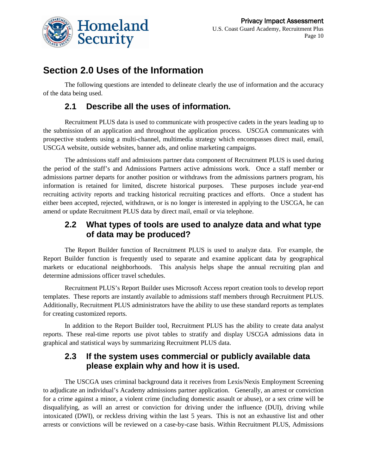

## **Section 2.0 Uses of the Information**

The following questions are intended to delineate clearly the use of information and the accuracy of the data being used.

### **2.1 Describe all the uses of information.**

Recruitment PLUS data is used to communicate with prospective cadets in the years leading up to the submission of an application and throughout the application process. USCGA communicates with prospective students using a multi-channel, multimedia strategy which encompasses direct mail, email, USCGA website, outside websites, banner ads, and online marketing campaigns.

The admissions staff and admissions partner data component of Recruitment PLUS is used during the period of the staff's and Admissions Partners active admissions work. Once a staff member or admissions partner departs for another position or withdraws from the admissions partners program, his information is retained for limited, discrete historical purposes. These purposes include year-end recruiting activity reports and tracking historical recruiting practices and efforts. Once a student has either been accepted, rejected, withdrawn, or is no longer is interested in applying to the USCGA, he can amend or update Recruitment PLUS data by direct mail, email or via telephone.

### **2.2 What types of tools are used to analyze data and what type of data may be produced?**

The Report Builder function of Recruitment PLUS is used to analyze data. For example, the Report Builder function is frequently used to separate and examine applicant data by geographical markets or educational neighborhoods. This analysis helps shape the annual recruiting plan and determine admissions officer travel schedules.

Recruitment PLUS's Report Builder uses Microsoft Access report creation tools to develop report templates. These reports are instantly available to admissions staff members through Recruitment PLUS. Additionally, Recruitment PLUS administrators have the ability to use these standard reports as templates for creating customized reports.

In addition to the Report Builder tool, Recruitment PLUS has the ability to create data analyst reports. These real-time reports use pivot tables to stratify and display USCGA admissions data in graphical and statistical ways by summarizing Recruitment PLUS data.

### **2.3 If the system uses commercial or publicly available data please explain why and how it is used.**

The USCGA uses criminal background data it receives from Lexis/Nexis Employment Screening to adjudicate an individual's Academy admissions partner application. Generally, an arrest or conviction for a crime against a minor, a violent crime (including domestic assault or abuse), or a sex crime will be disqualifying, as will an arrest or conviction for driving under the influence (DUI), driving while intoxicated (DWI), or reckless driving within the last 5 years. This is not an exhaustive list and other arrests or convictions will be reviewed on a case-by-case basis. Within Recruitment PLUS, Admissions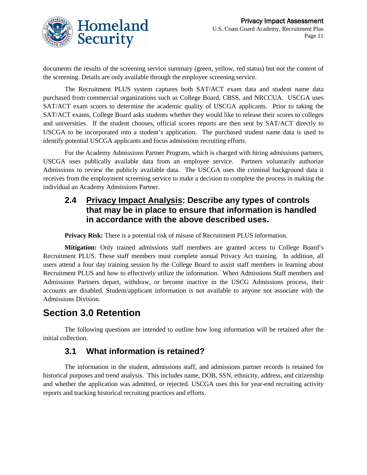

documents the results of the screening service summary (green, yellow, red status) but not the content of the screening. Details are only available through the employee screening service.

The Recruitment PLUS system captures both SAT/ACT exam data and student name data purchased from commercial organizations such as College Board, CBSS, and NRCCUA. USCGA uses SAT/ACT exam scores to determine the academic quality of USCGA applicants. Prior to taking the SAT/ACT exams, College Board asks students whether they would like to release their scores to colleges and universities. If the student chooses, official scores reports are then sent by SAT/ACT directly to USCGA to be incorporated into a student's application. The purchased student name data is used to identify potential USCGA applicants and focus admissions recruiting efforts.

For the Academy Admissions Partner Program, which is charged with hiring admissions partners, USCGA uses publically available data from an employee service. Partners voluntarily authorize Admissions to review the publicly available data. The USCGA uses the criminal background data it receives from the employment screening service to make a decision to complete the process in making the individual an Academy Admissions Partner.

### **2.4 Privacy Impact Analysis: Describe any types of controls that may be in place to ensure that information is handled in accordance with the above described uses.**

**Privacy Risk:** There is a potential risk of misuse of Recruitment PLUS information.

**Mitigation:** Only trained admissions staff members are granted access to College Board's Recruitment PLUS. These staff members must complete annual Privacy Act training. In addition, all users attend a four day training session by the College Board to assist staff members in learning about Recruitment PLUS and how to effectively utilize the information. When Admissions Staff members and Admissions Partners depart, withdraw, or become inactive in the USCG Admissions process, their accounts are disabled. Student/applicant information is not available to anyone not associate with the Admissions Division.

### **Section 3.0 Retention**

The following questions are intended to outline how long information will be retained after the initial collection.

### **3.1 What information is retained?**

The information in the student, admissions staff, and admissions partner records is retained for historical purposes and trend analysis. This includes name, DOB, SSN, ethnicity, address, and citizenship and whether the application was admitted, or rejected. USCGA uses this for year-end recruiting activity reports and tracking historical recruiting practices and efforts.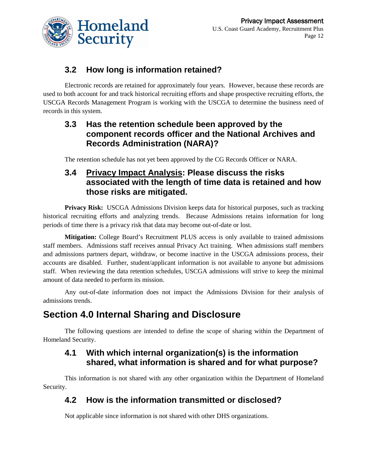

### **3.2 How long is information retained?**

Electronic records are retained for approximately four years. However, because these records are used to both account for and track historical recruiting efforts and shape prospective recruiting efforts, the USCGA Records Management Program is working with the USCGA to determine the business need of records in this system.

### **3.3 Has the retention schedule been approved by the component records officer and the National Archives and Records Administration (NARA)?**

The retention schedule has not yet been approved by the CG Records Officer or NARA.

### **3.4 Privacy Impact Analysis: Please discuss the risks associated with the length of time data is retained and how those risks are mitigated.**

**Privacy Risk:** USCGA Admissions Division keeps data for historical purposes, such as tracking historical recruiting efforts and analyzing trends. Because Admissions retains information for long periods of time there is a privacy risk that data may become out-of-date or lost.

**Mitigation:** College Board's Recruitment PLUS access is only available to trained admissions staff members. Admissions staff receives annual Privacy Act training. When admissions staff members and admissions partners depart, withdraw, or become inactive in the USCGA admissions process, their accounts are disabled. Further, student/applicant information is not available to anyone but admissions staff. When reviewing the data retention schedules, USCGA admissions will strive to keep the minimal amount of data needed to perform its mission.

Any out-of-date information does not impact the Admissions Division for their analysis of admissions trends.

# **Section 4.0 Internal Sharing and Disclosure**

The following questions are intended to define the scope of sharing within the Department of Homeland Security.

### **4.1 With which internal organization(s) is the information shared, what information is shared and for what purpose?**

This information is not shared with any other organization within the Department of Homeland Security.

### **4.2 How is the information transmitted or disclosed?**

Not applicable since information is not shared with other DHS organizations.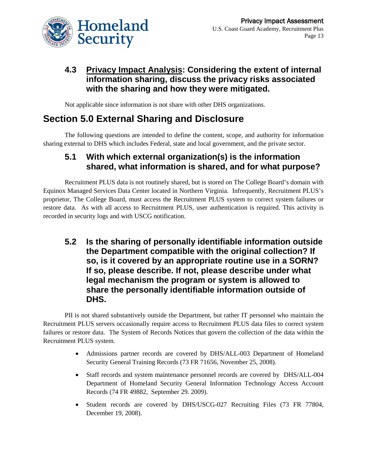

### **4.3 Privacy Impact Analysis: Considering the extent of internal information sharing, discuss the privacy risks associated with the sharing and how they were mitigated.**

Not applicable since information is not share with other DHS organizations.

# **Section 5.0 External Sharing and Disclosure**

The following questions are intended to define the content, scope, and authority for information sharing external to DHS which includes Federal, state and local government, and the private sector.

### **5.1 With which external organization(s) is the information shared, what information is shared, and for what purpose?**

Recruitment PLUS data is not routinely shared, but is stored on The College Board's domain with Equinox Managed Services Data Center located in Northern Virginia. Infrequently, Recruitment PLUS's proprietor, The College Board, must access the Recruitment PLUS system to correct system failures or restore data. As with all access to Recruitment PLUS, user authentication is required. This activity is recorded in security logs and with USCG notification.

**5.2 Is the sharing of personally identifiable information outside the Department compatible with the original collection? If so, is it covered by an appropriate routine use in a SORN? If so, please describe. If not, please describe under what legal mechanism the program or system is allowed to share the personally identifiable information outside of DHS.**

PII is not shared substantively outside the Department, but rather IT personnel who maintain the Recruitment PLUS servers occasionally require access to Recruitment PLUS data files to correct system failures or restore data. The System of Records Notices that govern the collection of the data within the Recruitment PLUS system.

- Admissions partner records are covered by DHS/ALL-003 Department of Homeland Security General Training Records (73 FR 71656, November 25, 2008).
- Staff records and system maintenance personnel records are covered by DHS/ALL-004 Department of Homeland Security General Information Technology Access Account Records (74 FR 49882, September 29. 2009).
- Student records are covered by DHS/USCG-027 Recruiting Files (73 FR 77804, December 19, 2008).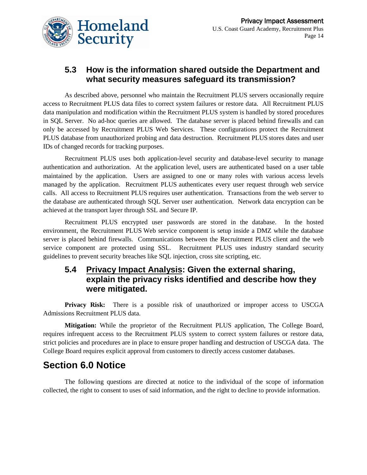

### **5.3 How is the information shared outside the Department and what security measures safeguard its transmission?**

As described above, personnel who maintain the Recruitment PLUS servers occasionally require access to Recruitment PLUS data files to correct system failures or restore data. All Recruitment PLUS data manipulation and modification within the Recruitment PLUS system is handled by stored procedures in SQL Server. No ad-hoc queries are allowed. The database server is placed behind firewalls and can only be accessed by Recruitment PLUS Web Services. These configurations protect the Recruitment PLUS database from unauthorized probing and data destruction. Recruitment PLUS stores dates and user IDs of changed records for tracking purposes.

Recruitment PLUS uses both application-level security and database-level security to manage authentication and authorization. At the application level, users are authenticated based on a user table maintained by the application. Users are assigned to one or many roles with various access levels managed by the application. Recruitment PLUS authenticates every user request through web service calls. All access to Recruitment PLUS requires user authentication. Transactions from the web server to the database are authenticated through SQL Server user authentication. Network data encryption can be achieved at the transport layer through SSL and Secure IP.

Recruitment PLUS encrypted user passwords are stored in the database. In the hosted environment, the Recruitment PLUS Web service component is setup inside a DMZ while the database server is placed behind firewalls. Communications between the Recruitment PLUS client and the web service component are protected using SSL. Recruitment PLUS uses industry standard security guidelines to prevent security breaches like SQL injection, cross site scripting, etc.

### **5.4 Privacy Impact Analysis: Given the external sharing, explain the privacy risks identified and describe how they were mitigated.**

**Privacy Risk:** There is a possible risk of unauthorized or improper access to USCGA Admissions Recruitment PLUS data.

**Mitigation:** While the proprietor of the Recruitment PLUS application, The College Board, requires infrequent access to the Recruitment PLUS system to correct system failures or restore data, strict policies and procedures are in place to ensure proper handling and destruction of USCGA data. The College Board requires explicit approval from customers to directly access customer databases.

### **Section 6.0 Notice**

The following questions are directed at notice to the individual of the scope of information collected, the right to consent to uses of said information, and the right to decline to provide information.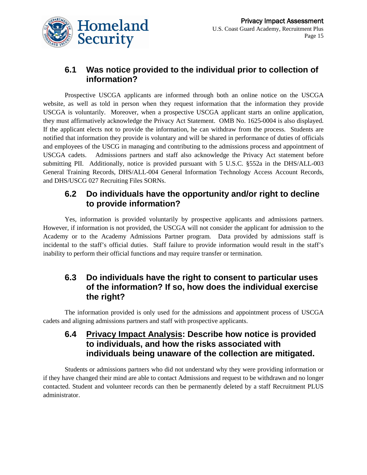

### **6.1 Was notice provided to the individual prior to collection of information?**

Prospective USCGA applicants are informed through both an online notice on the USCGA website, as well as told in person when they request information that the information they provide USCGA is voluntarily. Moreover, when a prospective USCGA applicant starts an online application, they must affirmatively acknowledge the Privacy Act Statement. OMB No. 1625-0004 is also displayed. If the applicant elects not to provide the information, he can withdraw from the process. Students are notified that information they provide is voluntary and will be shared in performance of duties of officials and employees of the USCG in managing and contributing to the admissions process and appointment of USCGA cadets. Admissions partners and staff also acknowledge the Privacy Act statement before submitting PII. Additionally, notice is provided pursuant with 5 U.S.C. §552a in the DHS/ALL-003 General Training Records, DHS/ALL-004 General Information Technology Access Account Records, and DHS/USCG 027 Recruiting Files SORNs.

#### **6.2 Do individuals have the opportunity and/or right to decline to provide information?**

Yes, information is provided voluntarily by prospective applicants and admissions partners. However, if information is not provided, the USCGA will not consider the applicant for admission to the Academy or to the Academy Admissions Partner program. Data provided by admissions staff is incidental to the staff's official duties. Staff failure to provide information would result in the staff's inability to perform their official functions and may require transfer or termination.

### **6.3 Do individuals have the right to consent to particular uses of the information? If so, how does the individual exercise the right?**

The information provided is only used for the admissions and appointment process of USCGA cadets and aligning admissions partners and staff with prospective applicants.

### **6.4 Privacy Impact Analysis: Describe how notice is provided to individuals, and how the risks associated with individuals being unaware of the collection are mitigated.**

Students or admissions partners who did not understand why they were providing information or if they have changed their mind are able to contact Admissions and request to be withdrawn and no longer contacted. Student and volunteer records can then be permanently deleted by a staff Recruitment PLUS administrator.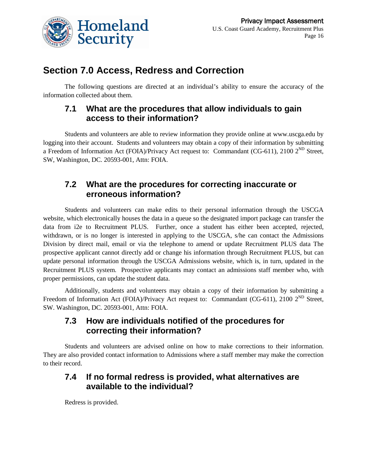

## **Section 7.0 Access, Redress and Correction**

The following questions are directed at an individual's ability to ensure the accuracy of the information collected about them.

#### **7.1 What are the procedures that allow individuals to gain access to their information?**

Students and volunteers are able to review information they provide online at www.uscga.edu by logging into their account. Students and volunteers may obtain a copy of their information by submitting a Freedom of Information Act (FOIA)/Privacy Act request to: Commandant (CG-611), 2100 2<sup>ND</sup> Street, SW, Washington, DC. 20593-001, Attn: FOIA.

### **7.2 What are the procedures for correcting inaccurate or erroneous information?**

Students and volunteers can make edits to their personal information through the USCGA website, which electronically houses the data in a queue so the designated import package can transfer the data from i2e to Recruitment PLUS. Further, once a student has either been accepted, rejected, withdrawn, or is no longer is interested in applying to the USCGA, s/he can contact the Admissions Division by direct mail, email or via the telephone to amend or update Recruitment PLUS data The prospective applicant cannot directly add or change his information through Recruitment PLUS, but can update personal information through the USCGA Admissions website, which is, in turn, updated in the Recruitment PLUS system. Prospective applicants may contact an admissions staff member who, with proper permissions, can update the student data.

Additionally, students and volunteers may obtain a copy of their information by submitting a Freedom of Information Act (FOIA)/Privacy Act request to: Commandant (CG-611), 2100 2<sup>ND</sup> Street, SW. Washington, DC. 20593-001, Attn: FOIA.

### **7.3 How are individuals notified of the procedures for correcting their information?**

Students and volunteers are advised online on how to make corrections to their information. They are also provided contact information to Admissions where a staff member may make the correction to their record.

### **7.4 If no formal redress is provided, what alternatives are available to the individual?**

Redress is provided.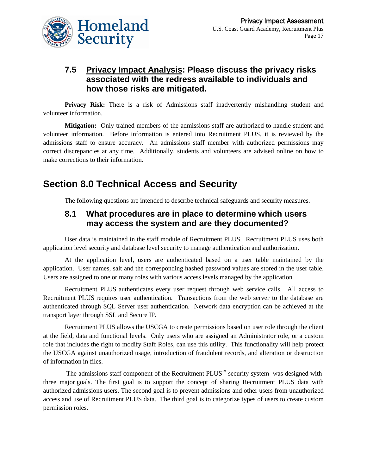

### **7.5 Privacy Impact Analysis: Please discuss the privacy risks associated with the redress available to individuals and how those risks are mitigated.**

**Privacy Risk:** There is a risk of Admissions staff inadvertently mishandling student and volunteer information.

**Mitigation:** Only trained members of the admissions staff are authorized to handle student and volunteer information. Before information is entered into Recruitment PLUS, it is reviewed by the admissions staff to ensure accuracy. An admissions staff member with authorized permissions may correct discrepancies at any time. Additionally, students and volunteers are advised online on how to make corrections to their information.

# **Section 8.0 Technical Access and Security**

The following questions are intended to describe technical safeguards and security measures.

### **8.1 What procedures are in place to determine which users may access the system and are they documented?**

User data is maintained in the staff module of Recruitment PLUS. Recruitment PLUS uses both application level security and database level security to manage authentication and authorization.

At the application level, users are authenticated based on a user table maintained by the application. User names, salt and the corresponding hashed password values are stored in the user table. Users are assigned to one or many roles with various access levels managed by the application.

Recruitment PLUS authenticates every user request through web service calls. All access to Recruitment PLUS requires user authentication. Transactions from the web server to the database are authenticated through SQL Server user authentication. Network data encryption can be achieved at the transport layer through SSL and Secure IP.

Recruitment PLUS allows the USCGA to create permissions based on user role through the client at the field, data and functional levels. Only users who are assigned an Administrator role, or a custom role that includes the right to modify Staff Roles, can use this utility. This functionality will help protect the USCGA against unauthorized usage, introduction of fraudulent records, and alteration or destruction of information in files.

The admissions staff component of the Recruitment  $\text{PLUS}^{\text{m}}$  security system was designed with three major goals. The first goal is to support the concept of sharing Recruitment PLUS data with authorized admissions users. The second goal is to prevent admissions and other users from unauthorized access and use of Recruitment PLUS data. The third goal is to categorize types of users to create custom permission roles.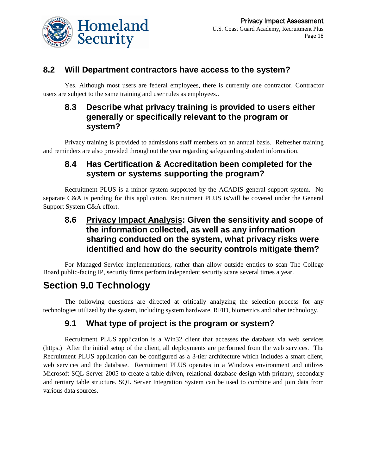

### **8.2 Will Department contractors have access to the system?**

Yes. Although most users are federal employees, there is currently one contractor. Contractor users are subject to the same training and user rules as employees..

### **8.3 Describe what privacy training is provided to users either generally or specifically relevant to the program or system?**

Privacy training is provided to admissions staff members on an annual basis. Refresher training and reminders are also provided throughout the year regarding safeguarding student information.

### **8.4 Has Certification & Accreditation been completed for the system or systems supporting the program?**

Recruitment PLUS is a minor system supported by the ACADIS general support system. No separate C&A is pending for this application. Recruitment PLUS is/will be covered under the General Support System C&A effort.

### **8.6 Privacy Impact Analysis: Given the sensitivity and scope of the information collected, as well as any information sharing conducted on the system, what privacy risks were identified and how do the security controls mitigate them?**

For Managed Service implementations, rather than allow outside entities to scan The College Board public-facing IP, security firms perform independent security scans several times a year.

# **Section 9.0 Technology**

The following questions are directed at critically analyzing the selection process for any technologies utilized by the system, including system hardware, RFID, biometrics and other technology.

### **9.1 What type of project is the program or system?**

Recruitment PLUS application is a Win32 client that accesses the database via web services (https.) After the initial setup of the client, all deployments are performed from the web services. The Recruitment PLUS application can be configured as a 3-tier architecture which includes a smart client, web services and the database. Recruitment PLUS operates in a Windows environment and utilizes Microsoft SQL Server 2005 to create a table-driven, relational database design with primary, secondary and tertiary table structure. SQL Server Integration System can be used to combine and join data from various data sources.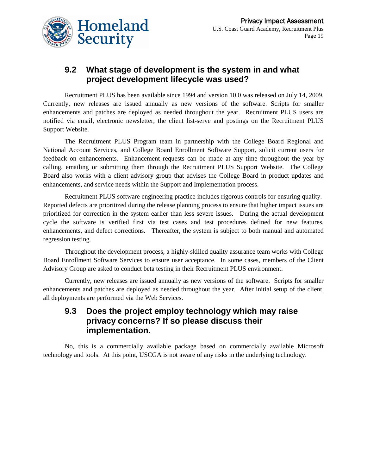

### **9.2 What stage of development is the system in and what project development lifecycle was used?**

Recruitment PLUS has been available since 1994 and version 10.0 was released on July 14, 2009. Currently, new releases are issued annually as new versions of the software. Scripts for smaller enhancements and patches are deployed as needed throughout the year. Recruitment PLUS users are notified via email, electronic newsletter, the client list-serve and postings on the Recruitment PLUS Support Website.

The Recruitment PLUS Program team in partnership with the College Board Regional and National Account Services, and College Board Enrollment Software Support, solicit current users for feedback on enhancements. Enhancement requests can be made at any time throughout the year by calling, emailing or submitting them through the Recruitment PLUS Support Website. The College Board also works with a client advisory group that advises the College Board in product updates and enhancements, and service needs within the Support and Implementation process.

Recruitment PLUS software engineering practice includes rigorous controls for ensuring quality. Reported defects are prioritized during the release planning process to ensure that higher impact issues are prioritized for correction in the system earlier than less severe issues. During the actual development cycle the software is verified first via test cases and test procedures defined for new features, enhancements, and defect corrections. Thereafter, the system is subject to both manual and automated regression testing.

Throughout the development process, a highly-skilled quality assurance team works with College Board Enrollment Software Services to ensure user acceptance. In some cases, members of the Client Advisory Group are asked to conduct beta testing in their Recruitment PLUS environment.

Currently, new releases are issued annually as new versions of the software. Scripts for smaller enhancements and patches are deployed as needed throughout the year. After initial setup of the client, all deployments are performed via the Web Services.

### **9.3 Does the project employ technology which may raise privacy concerns? If so please discuss their implementation.**

No, this is a commercially available package based on commercially available Microsoft technology and tools. At this point, USCGA is not aware of any risks in the underlying technology.